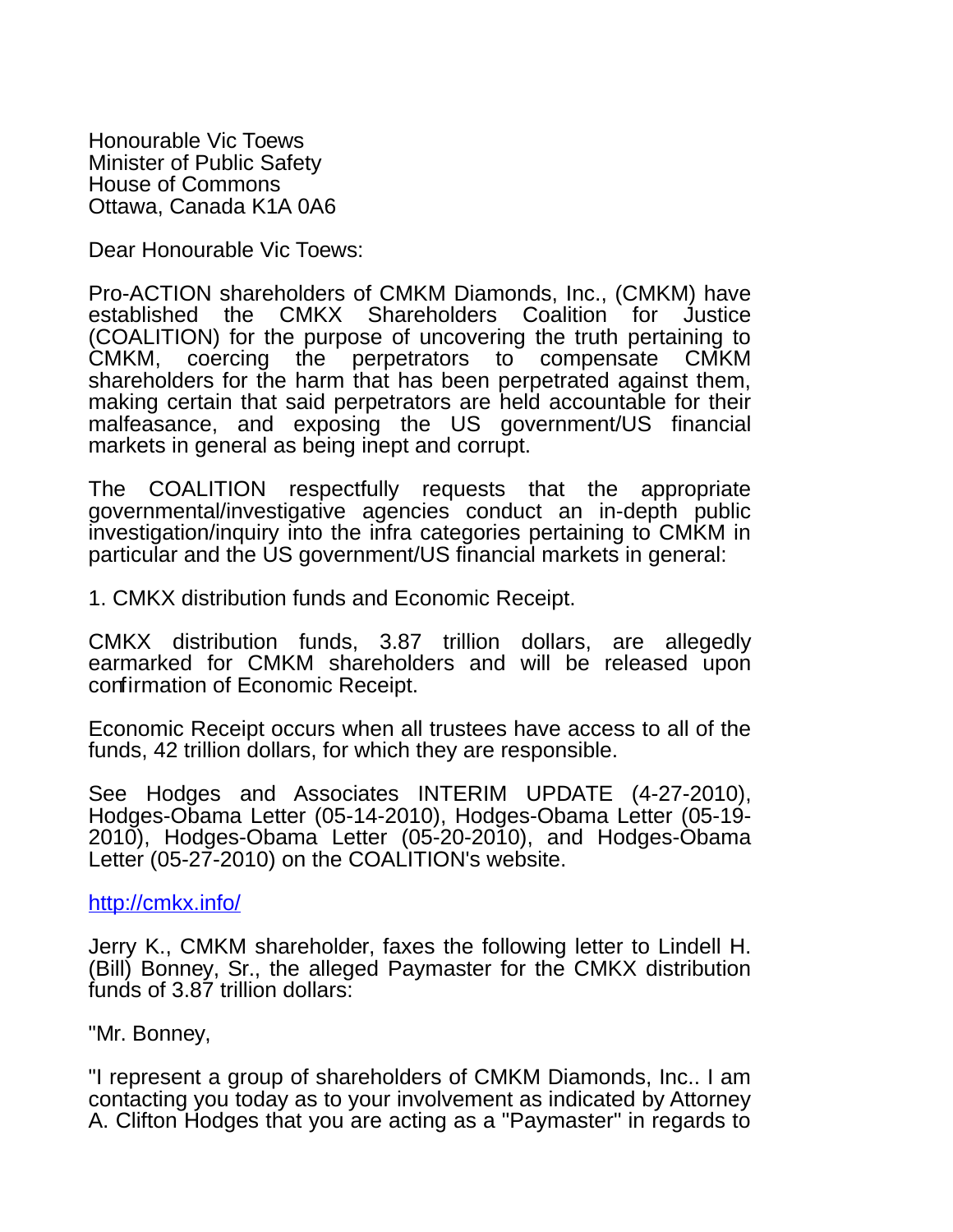Honourable Vic Toews Minister of Public Safety House of Commons Ottawa, Canada K1A 0A6

Dear Honourable Vic Toews:

Pro-ACTION shareholders of CMKM Diamonds, Inc., (CMKM) have established the CMKX Shareholders Coalition for Justice (COALITION) for the purpose of uncovering the truth pertaining to CMKM, coercing the perpetrators to compensate CMKM shareholders for the harm that has been perpetrated against them, making certain that said perpetrators are held accountable for their malfeasance, and exposing the US government/US financial markets in general as being inept and corrupt.

The COALITION respectfully requests that the appropriate governmental/investigative agencies conduct an in-depth public investigation/inquiry into the infra categories pertaining to CMKM in particular and the US government/US financial markets in general:

1. CMKX distribution funds and Economic Receipt.

CMKX distribution funds, 3.87 trillion dollars, are allegedly earmarked for CMKM shareholders and will be released upon confirmation of Economic Receipt.

Economic Receipt occurs when all trustees have access to all of the funds, 42 trillion dollars, for which they are responsible.

See Hodges and Associates INTERIM UPDATE (4-27-2010), Hodges-Obama Letter (05-14-2010), Hodges-Obama Letter (05-19- 2010), Hodges-Obama Letter (05-20-2010), and Hodges-Obama Letter (05-27-2010) on the COALITION's website.

## <http://cmkx.info/>

Jerry K., CMKM shareholder, faxes the following letter to Lindell H. (Bill) Bonney, Sr., the alleged Paymaster for the CMKX distribution funds of 3.87 trillion dollars:

"Mr. Bonney,

"I represent a group of shareholders of CMKM Diamonds, Inc.. I am contacting you today as to your involvement as indicated by Attorney A. Clifton Hodges that you are acting as a "Paymaster" in regards to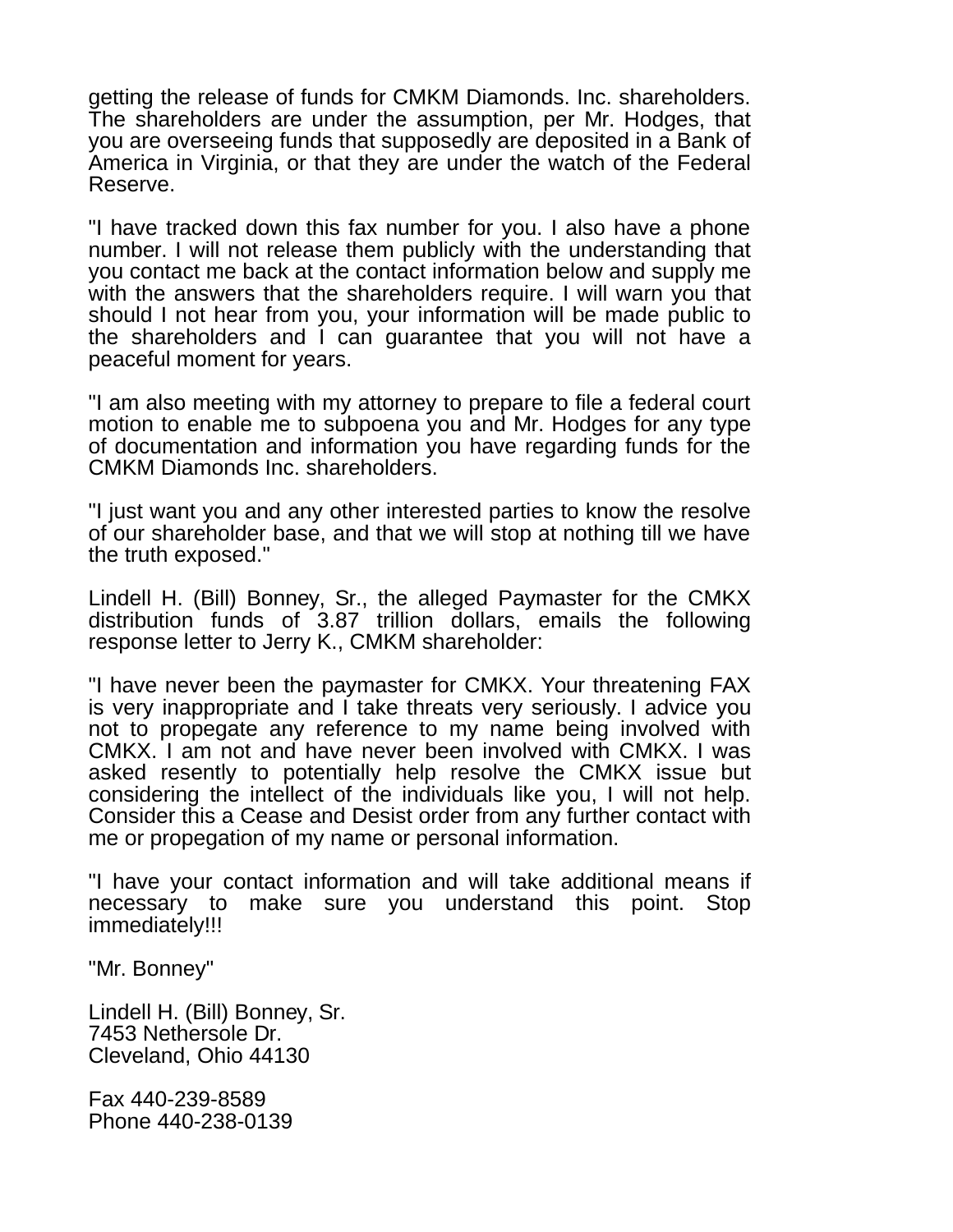getting the release of funds for CMKM Diamonds. Inc. shareholders. The shareholders are under the assumption, per Mr. Hodges, that you are overseeing funds that supposedly are deposited in a Bank of America in Virginia, or that they are under the watch of the Federal Reserve.

"I have tracked down this fax number for you. I also have a phone number. I will not release them publicly with the understanding that you contact me back at the contact information below and supply me with the answers that the shareholders require. I will warn you that should I not hear from you, your information will be made public to the shareholders and I can guarantee that you will not have a peaceful moment for years.

"I am also meeting with my attorney to prepare to file a federal court motion to enable me to subpoena you and Mr. Hodges for any type of documentation and information you have regarding funds for the CMKM Diamonds Inc. shareholders.

"I just want you and any other interested parties to know the resolve of our shareholder base, and that we will stop at nothing till we have the truth exposed."

Lindell H. (Bill) Bonney, Sr., the alleged Paymaster for the CMKX distribution funds of 3.87 trillion dollars, emails the following response letter to Jerry K., CMKM shareholder:

"I have never been the paymaster for CMKX. Your threatening FAX is very inappropriate and I take threats very seriously. I advice you not to propegate any reference to my name being involved with CMKX. I am not and have never been involved with CMKX. I was asked resently to potentially help resolve the CMKX issue but considering the intellect of the individuals like you, I will not help. Consider this a Cease and Desist order from any further contact with me or propegation of my name or personal information.

"I have your contact information and will take additional means if necessary to make sure you understand this point. Stop immediately!!!

"Mr. Bonney"

Lindell H. (Bill) Bonney, Sr. 7453 Nethersole Dr. Cleveland, Ohio 44130

Fax 440-239-8589 Phone 440-238-0139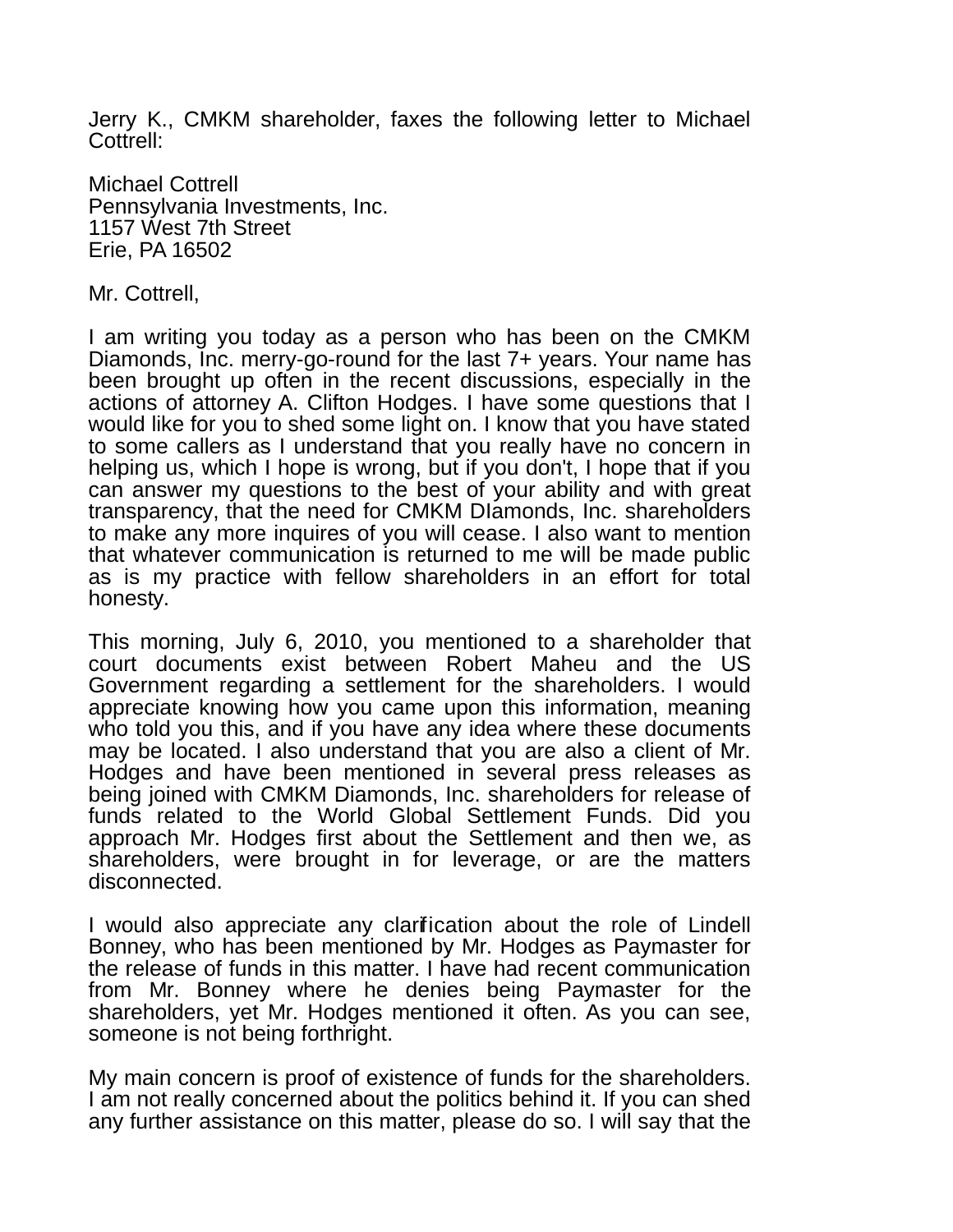Jerry K., CMKM shareholder, faxes the following letter to Michael Cottrell:

Michael Cottrell Pennsylvania Investments, Inc. 1157 West 7th Street Erie, PA 16502

Mr. Cottrell,

I am writing you today as a person who has been on the CMKM Diamonds, Inc. merry-go-round for the last 7+ years. Your name has been brought up often in the recent discussions, especially in the actions of attorney A. Clifton Hodges. I have some questions that I would like for you to shed some light on. I know that you have stated to some callers as I understand that you really have no concern in helping us, which I hope is wrong, but if you don't, I hope that if you can answer my questions to the best of your ability and with great transparency, that the need for CMKM DIamonds, Inc. shareholders to make any more inquires of you will cease. I also want to mention that whatever communication is returned to me will be made public as is my practice with fellow shareholders in an effort for total honesty.

This morning, July 6, 2010, you mentioned to a shareholder that court documents exist between Robert Maheu and the US Government regarding a settlement for the shareholders. I would appreciate knowing how you came upon this information, meaning who told you this, and if you have any idea where these documents may be located. I also understand that you are also a client of Mr. Hodges and have been mentioned in several press releases as being joined with CMKM Diamonds, Inc. shareholders for release of funds related to the World Global Settlement Funds. Did you approach Mr. Hodges first about the Settlement and then we, as shareholders, were brought in for leverage, or are the matters disconnected.

I would also appreciate any clarification about the role of Lindell Bonney, who has been mentioned by Mr. Hodges as Paymaster for the release of funds in this matter. I have had recent communication from Mr. Bonney where he denies being Paymaster for the shareholders, yet Mr. Hodges mentioned it often. As you can see, someone is not being forthright.

My main concern is proof of existence of funds for the shareholders. I am not really concerned about the politics behind it. If you can shed any further assistance on this matter, please do so. I will say that the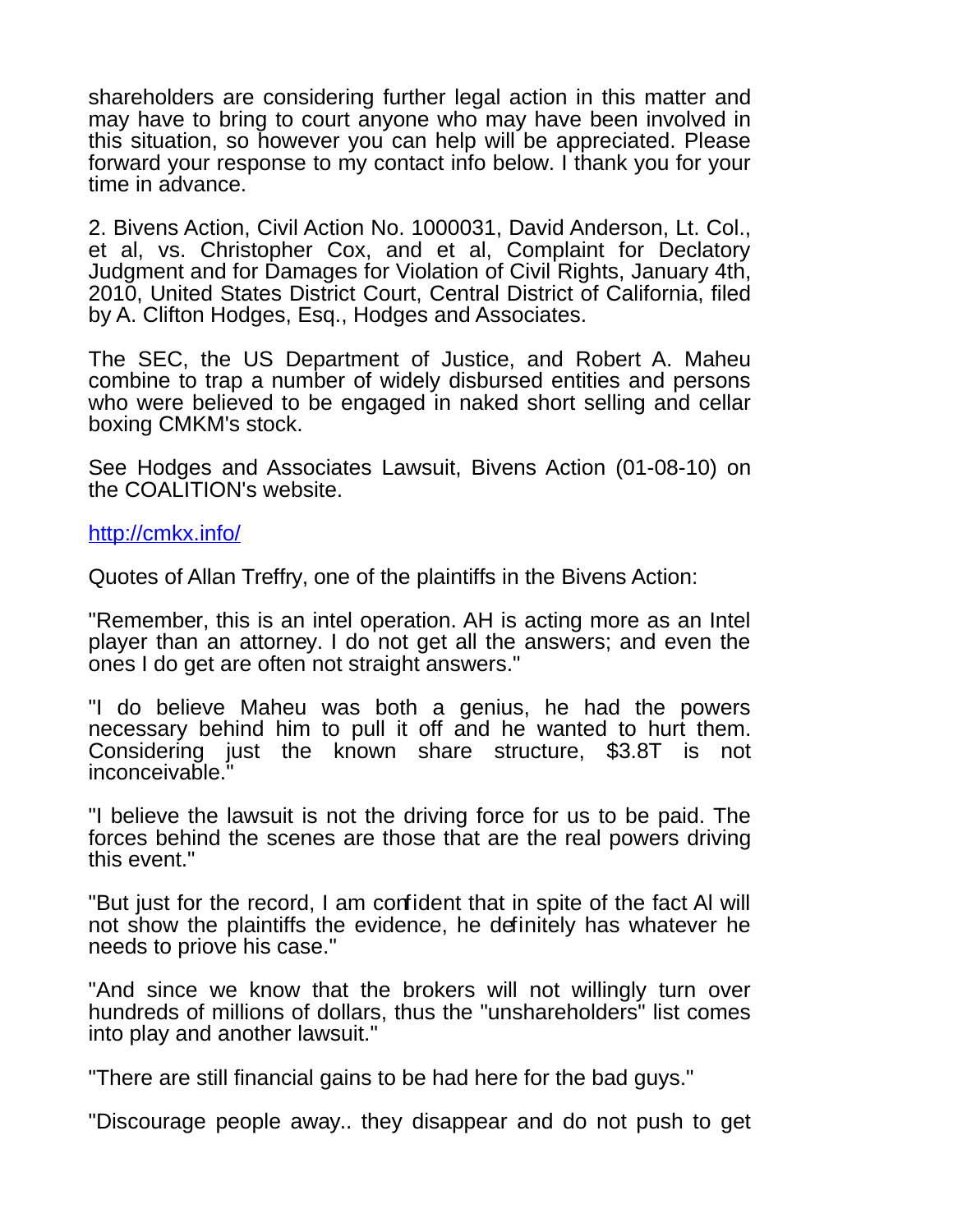shareholders are considering further legal action in this matter and may have to bring to court anyone who may have been involved in this situation, so however you can help will be appreciated. Please forward your response to my contact info below. I thank you for your time in advance.

2. Bivens Action, Civil Action No. 1000031, David Anderson, Lt. Col., et al, vs. Christopher Cox, and et al, Complaint for Declatory Judgment and for Damages for Violation of Civil Rights, January 4th, 2010, United States District Court, Central District of California, filed by A. Clifton Hodges, Esq., Hodges and Associates.

The SEC, the US Department of Justice, and Robert A. Maheu combine to trap a number of widely disbursed entities and persons who were believed to be engaged in naked short selling and cellar boxing CMKM's stock.

See Hodges and Associates Lawsuit, Bivens Action (01-08-10) on the COALITION's website.

<http://cmkx.info/>

Quotes of Allan Treffry, one of the plaintiffs in the Bivens Action:

"Remember, this is an intel operation. AH is acting more as an Intel player than an attorney. I do not get all the answers; and even the ones I do get are often not straight answers."

"I do believe Maheu was both a genius, he had the powers necessary behind him to pull it off and he wanted to hurt them. Considering just the known share structure, \$3.8T is not inconceivable."

"I believe the lawsuit is not the driving force for us to be paid. The forces behind the scenes are those that are the real powers driving this event."

"But just for the record, I am confident that in spite of the fact Al will not show the plaintiffs the evidence, he definitely has whatever he needs to priove his case."

"And since we know that the brokers will not willingly turn over hundreds of millions of dollars, thus the "unshareholders" list comes into play and another lawsuit."

"There are still financial gains to be had here for the bad guys."

"Discourage people away.. they disappear and do not push to get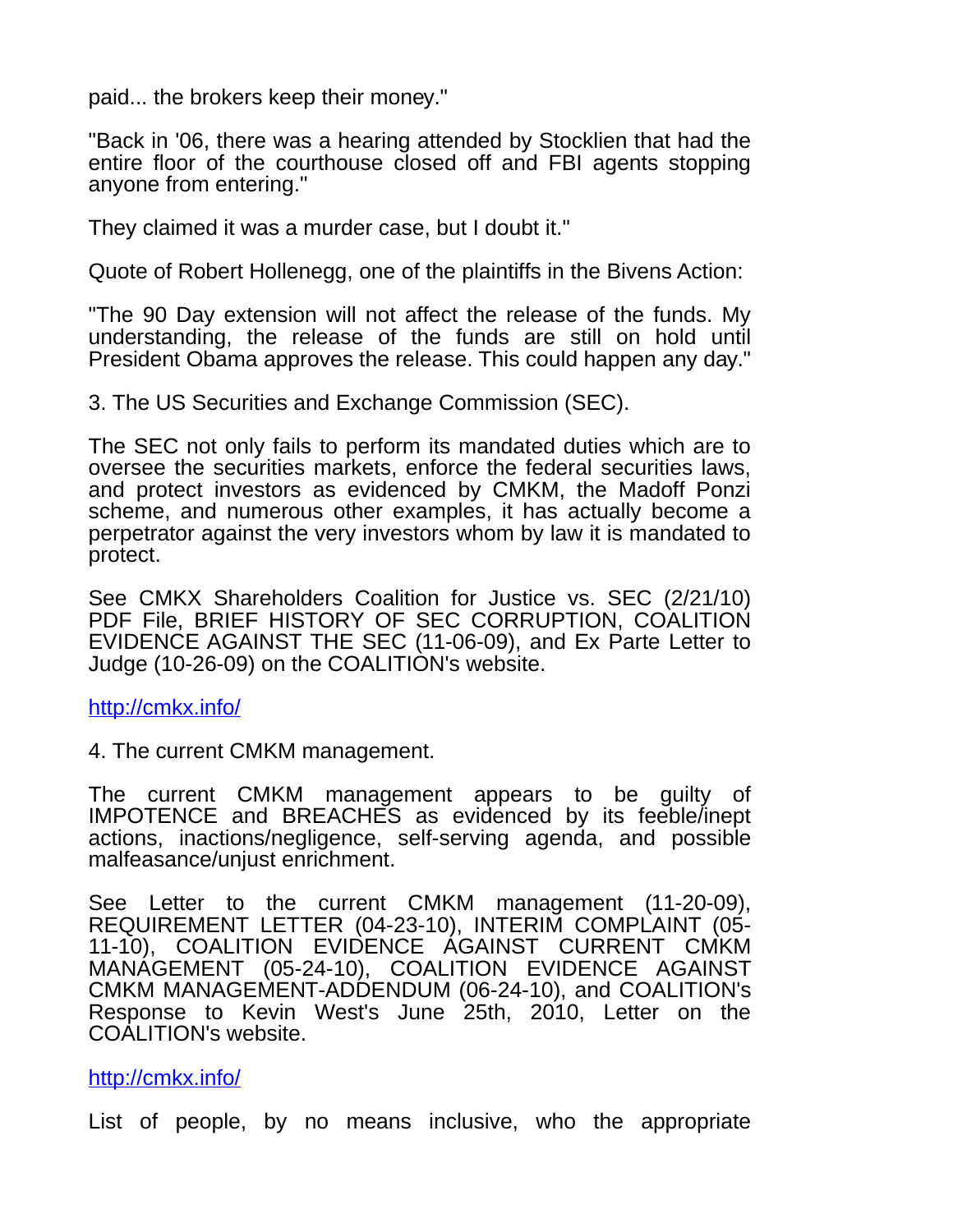paid... the brokers keep their money."

"Back in '06, there was a hearing attended by Stocklien that had the entire floor of the courthouse closed off and FBI agents stopping anyone from entering."

They claimed it was a murder case, but I doubt it."

Quote of Robert Hollenegg, one of the plaintiffs in the Bivens Action:

"The 90 Day extension will not affect the release of the funds. My understanding, the release of the funds are still on hold until President Obama approves the release. This could happen any day."

3. The US Securities and Exchange Commission (SEC).

The SEC not only fails to perform its mandated duties which are to oversee the securities markets, enforce the federal securities laws, and protect investors as evidenced by CMKM, the Madoff Ponzi scheme, and numerous other examples, it has actually become a perpetrator against the very investors whom by law it is mandated to protect.

See CMKX Shareholders Coalition for Justice vs. SEC (2/21/10) PDF File, BRIEF HISTORY OF SEC CORRUPTION, COALITION EVIDENCE AGAINST THE SEC (11-06-09), and Ex Parte Letter to Judge (10-26-09) on the COALITION's website.

## <http://cmkx.info/>

4. The current CMKM management.

The current CMKM management appears to be guilty of IMPOTENCE and BREACHES as evidenced by its feeble/inept actions, inactions/negligence, self-serving agenda, and possible malfeasance/unjust enrichment.

See Letter to the current CMKM management (11-20-09), REQUIREMENT LETTER (04-23-10), INTERIM COMPLAINT (05- 11-10), COALITION EVIDENCE AGAINST CURRENT CMKM MANAGEMENT (05-24-10), COALITION EVIDENCE AGAINST CMKM MANAGEMENT-ADDENDUM (06-24-10), and COALITION's Response to Kevin West's June 25th, 2010, Letter on the COALITION's website.

## <http://cmkx.info/>

List of people, by no means inclusive, who the appropriate